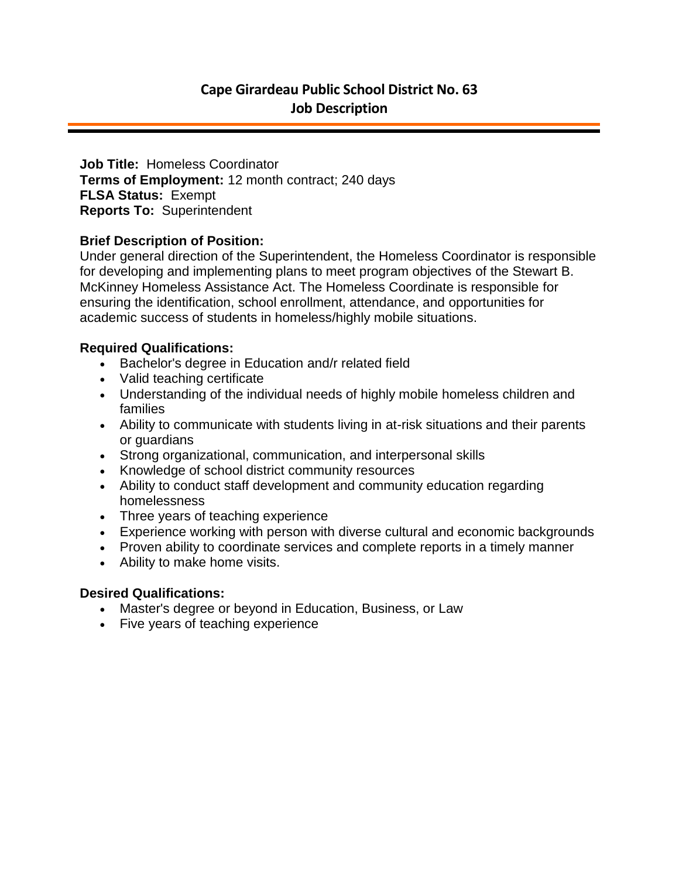**Job Title:** Homeless Coordinator **Terms of Employment:** 12 month contract; 240 days **FLSA Status:** Exempt **Reports To:** Superintendent

#### **Brief Description of Position:**

Under general direction of the Superintendent, the Homeless Coordinator is responsible for developing and implementing plans to meet program objectives of the Stewart B. McKinney Homeless Assistance Act. The Homeless Coordinate is responsible for ensuring the identification, school enrollment, attendance, and opportunities for academic success of students in homeless/highly mobile situations.

#### **Required Qualifications:**

- Bachelor's degree in Education and/r related field
- Valid teaching certificate
- Understanding of the individual needs of highly mobile homeless children and families
- Ability to communicate with students living in at-risk situations and their parents or guardians
- Strong organizational, communication, and interpersonal skills
- Knowledge of school district community resources
- Ability to conduct staff development and community education regarding homelessness
- Three years of teaching experience
- Experience working with person with diverse cultural and economic backgrounds
- Proven ability to coordinate services and complete reports in a timely manner
- Ability to make home visits.

## **Desired Qualifications:**

- Master's degree or beyond in Education, Business, or Law
- Five years of teaching experience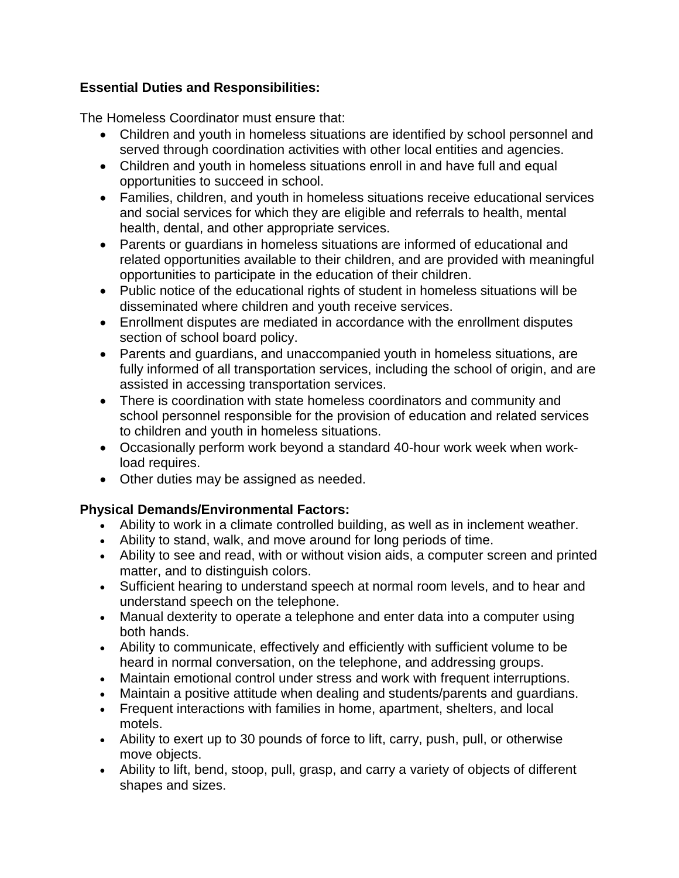# **Essential Duties and Responsibilities:**

The Homeless Coordinator must ensure that:

- Children and youth in homeless situations are identified by school personnel and served through coordination activities with other local entities and agencies.
- Children and youth in homeless situations enroll in and have full and equal opportunities to succeed in school.
- Families, children, and youth in homeless situations receive educational services and social services for which they are eligible and referrals to health, mental health, dental, and other appropriate services.
- Parents or guardians in homeless situations are informed of educational and related opportunities available to their children, and are provided with meaningful opportunities to participate in the education of their children.
- Public notice of the educational rights of student in homeless situations will be disseminated where children and youth receive services.
- Enrollment disputes are mediated in accordance with the enrollment disputes section of school board policy.
- Parents and guardians, and unaccompanied youth in homeless situations, are fully informed of all transportation services, including the school of origin, and are assisted in accessing transportation services.
- There is coordination with state homeless coordinators and community and school personnel responsible for the provision of education and related services to children and youth in homeless situations.
- Occasionally perform work beyond a standard 40-hour work week when workload requires.
- Other duties may be assigned as needed.

## **Physical Demands/Environmental Factors:**

- Ability to work in a climate controlled building, as well as in inclement weather.
- Ability to stand, walk, and move around for long periods of time.
- Ability to see and read, with or without vision aids, a computer screen and printed matter, and to distinguish colors.
- Sufficient hearing to understand speech at normal room levels, and to hear and understand speech on the telephone.
- Manual dexterity to operate a telephone and enter data into a computer using both hands.
- Ability to communicate, effectively and efficiently with sufficient volume to be heard in normal conversation, on the telephone, and addressing groups.
- Maintain emotional control under stress and work with frequent interruptions.
- Maintain a positive attitude when dealing and students/parents and guardians.
- Frequent interactions with families in home, apartment, shelters, and local motels.
- Ability to exert up to 30 pounds of force to lift, carry, push, pull, or otherwise move objects.
- Ability to lift, bend, stoop, pull, grasp, and carry a variety of objects of different shapes and sizes.